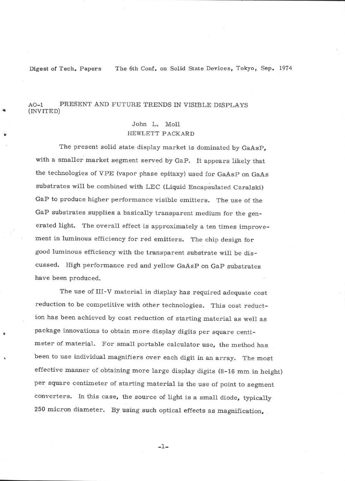Digest of Tech. Papers The 6th Conf. on Solid State Devices, Tokyo, Sep. 1974

## AO-1 PRESENT AND FUTURE TRENDS IN VISIBLE DISPLAYS (INVITED)

## John L. Moll HEWLETT PACKARD

The present solid state display market is dominated by GaAsp, with a smaller market segment served by GaP. It appears likely that the technologies of VPE (vapor phase epitaxy) used for GaAsp on GaAs substrates will be combined with LEC (Liquid Encapsulated Czralski) GaP to produce higher performance visible emitters. The use of the GaP substrates supplies a basically transparent medium for the generated light. The overall effect is approximately a ten times improvement in luminous efficiency for red emitters. The chip design for good luminous efficiency with the transparent substrate will be discussed. High performance red and yellow GaAsP on GaP substrates have been produced.

The use of III-V material in display has required adequate cost reduction to be competitive with other technologies. This cost reduction has been achieved by cost reduction of starting material as well as package innovations to obtain more display digits per square centimeter of material. For small portable calculator use, the method has been to use individual magnifiers over each digit in an array. The most effective manner of obtaining more large display digits (B-16 mm in height) per square centimeter of starting material is the use of point to segment converters. In this case, the source of light is a small diode, typically 250 micron diameter. By using such optical effects as magnification,

 $\overline{\phantom{a}}$